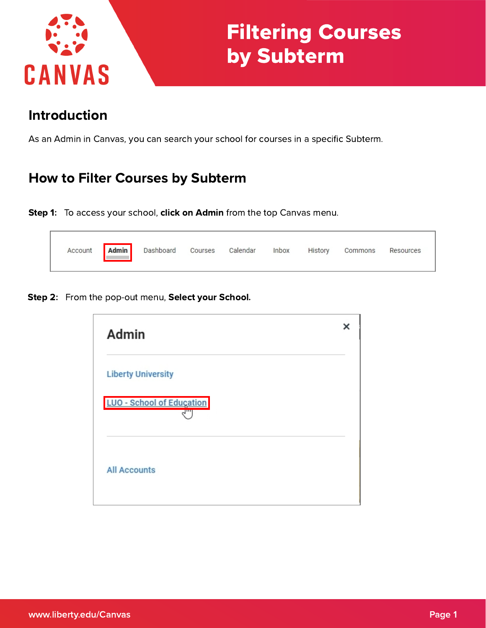

# Filtering Courses by Subterm

# Introduction

As an Admin in Canvas, you can search your school for courses in a specific Subterm.

#### How to Filter Courses by Subterm

Step 1: To access your school, click on Admin from the top Canvas menu.

|  | Account <b>Admin</b> Dashboard Courses Calendar |  |  | Inbox | History | Commons | Resources |  |
|--|-------------------------------------------------|--|--|-------|---------|---------|-----------|--|
|--|-------------------------------------------------|--|--|-------|---------|---------|-----------|--|

Step 2: From the pop-out menu, Select your School.

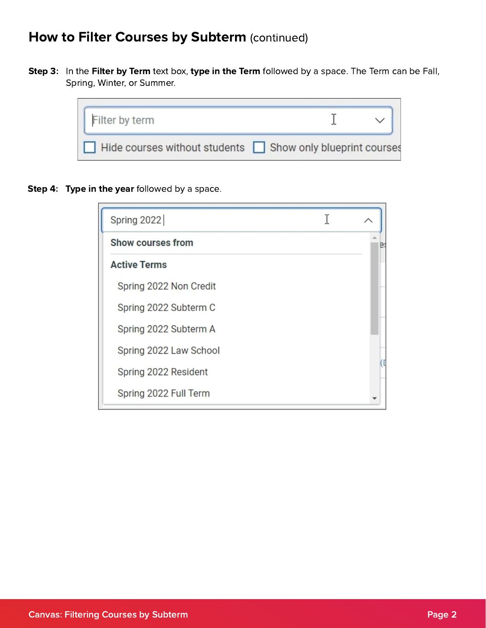### How to Filter Courses by Subterm (continued)

Step 3: In the Filter by Term text box, type in the Term followed by a space. The Term can be Fall, Spring, Winter, or Summer.

| Filter by term                                            |  |  |
|-----------------------------------------------------------|--|--|
| Hide courses without students Show only blueprint courses |  |  |

Step 4: Type in the year followed by a space.

| Spring 2022            |  |
|------------------------|--|
| Show courses from      |  |
| <b>Active Terms</b>    |  |
| Spring 2022 Non Credit |  |
| Spring 2022 Subterm C  |  |
| Spring 2022 Subterm A  |  |
| Spring 2022 Law School |  |
| Spring 2022 Resident   |  |
| Spring 2022 Full Term  |  |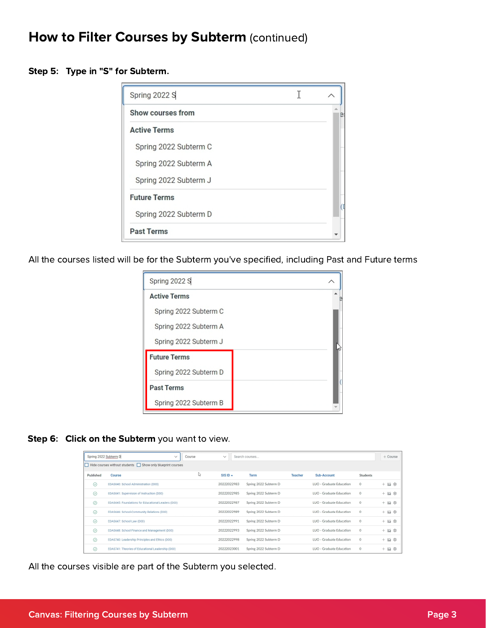#### How to Filter Courses by Subterm (continued)

Step 5: Type in "S" for Subterm.

| Spring 2022 S            |  |
|--------------------------|--|
| <b>Show courses from</b> |  |
| <b>Active Terms</b>      |  |
| Spring 2022 Subterm C    |  |
| Spring 2022 Subterm A    |  |
| Spring 2022 Subterm J    |  |
| <b>Future Terms</b>      |  |
| Spring 2022 Subterm D    |  |
| <b>Past Terms</b>        |  |

All the courses listed will be for the Subterm you've specified, including Past and Future terms

| Spring 2022 S         |  |
|-----------------------|--|
| <b>Active Terms</b>   |  |
| Spring 2022 Subterm C |  |
| Spring 2022 Subterm A |  |
| Spring 2022 Subterm J |  |
| <b>Future Terms</b>   |  |
| Spring 2022 Subterm D |  |
| <b>Past Terms</b>     |  |
| Spring 2022 Subterm B |  |

Step 6: Click on the Subterm you want to view.

| Spring 2022 Subterm D | $\checkmark$                                                                                                | Course       | $\checkmark$ | Search courses        |                |                          |                 | $+$ Course                   |
|-----------------------|-------------------------------------------------------------------------------------------------------------|--------------|--------------|-----------------------|----------------|--------------------------|-----------------|------------------------------|
| E                     | $\overline{\phantom{a}}$ Hide courses without students $\overline{\phantom{a}}$ Show only blueprint courses |              |              |                       |                |                          |                 |                              |
| Published             | Course                                                                                                      | $\mathbb{Z}$ | SIS ID A     | <b>Term</b>           | <b>Teacher</b> | Sub-Account              | <b>Students</b> |                              |
| $\odot$               | EDAS640: School Administration (D00)                                                                        |              | 20222022983  | Spring 2022 Subterm D |                | LUO - Graduate Education | $\circ$         | $+$ $\omega$ $\otimes$       |
| $\odot$               | EDAS641: Supervision of Instruction (D00)                                                                   |              | 20222022985  | Spring 2022 Subterm D |                | LUO - Graduate Education | $\circ$         | $+$ $\mathbf{m}$ $\otimes$   |
| $\odot$               | EDAS645: Foundations for Educational Leaders (D00)                                                          |              | 20222022987  | Spring 2022 Subterm D |                | LUO - Graduate Education | $\circ$         | $+$ $\omega$ $\otimes$       |
| $\odot$               | EDAS646: School-Community Relations (D00)                                                                   |              | 20222022989  | Spring 2022 Subterm D |                | LUO - Graduate Education | $\Omega$        | $+$ $\omega$ $\otimes$       |
| $\odot$               | EDAS647: School Law (D00)                                                                                   |              | 20222022991  | Spring 2022 Subterm D |                | LUO - Graduate Education | $\Omega$        | $+$ $\omega$ $\otimes$       |
| $\odot$               | EDAS648: School Finance and Management (D00)                                                                |              | 20222022993  | Spring 2022 Subterm D |                | LUO - Graduate Education | $\circ$         | $+$ $\mathbb{H}$ $\otimes$   |
| $\odot$               | EDAS740: Leadership Principles and Ethics (D00)                                                             |              | 20222022998  | Spring 2022 Subterm D |                | LUO - Graduate Education | $\circ$         | $+$ $\overline{m}$ $\otimes$ |
| $\odot$               | EDAS741: Theories of Educational Leadership (D00)                                                           |              | 20222023001  | Spring 2022 Subterm D |                | LUO - Graduate Education | $\mathbf{0}$    | $+$ $\boxtimes$<br>ණ         |

All the courses visible are part of the Subterm you selected.